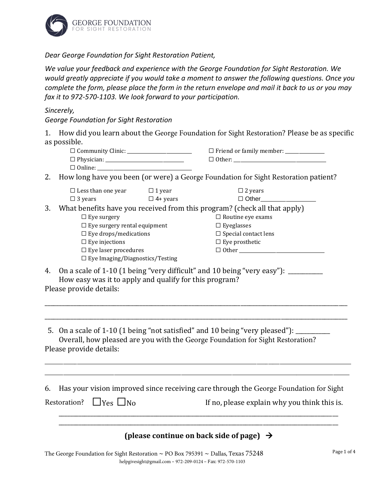

*Dear George Foundation for Sight Restoration Patient,*

*We value your feedback and experience with the George Foundation for Sight Restoration. We would greatly appreciate if you would take a moment to answer the following questions. Once you complete the form, please place the form in the return envelope and mail it back to us or you may fax it to 972-570-1103. We look forward to your participation.*

#### *Sincerely,*

*George Foundation for Sight Restoration*

1. How did you learn about the George Foundation for Sight Restoration? Please be as specific as possible.

| $\Box$ Community Clinic: | $\Box$ Friend or family member: |
|--------------------------|---------------------------------|
| $\Box$ Physician:        | $\Box$ Other:                   |
| $\Box$ Online:           |                                 |

2. How long have you been (or were) a George Foundation for Sight Restoration patient?

|    | $\Box$ Less than one year                                                 | $\Box$ 1 year   | $\Box$ 2 years              |  |
|----|---------------------------------------------------------------------------|-----------------|-----------------------------|--|
|    | $\Box$ 3 years                                                            | $\Box$ 4+ years | $\Box$ Other                |  |
| 3. | What benefits have you received from this program? (check all that apply) |                 |                             |  |
|    | $\Box$ Eye surgery                                                        |                 | $\Box$ Routine eye exams    |  |
|    | $\Box$ Eye surgery rental equipment                                       |                 | $\Box$ Eyeglasses           |  |
|    | $\Box$ Eye drops/medications                                              |                 | $\Box$ Special contact lens |  |
|    | $\Box$ Eye injections                                                     |                 | $\Box$ Eye prosthetic       |  |
|    | $\Box$ Eye laser procedures                                               |                 | $\Box$ Other $\Box$         |  |
|    | $\Box$ Eye Imaging/Diagnostics/Testing                                    |                 |                             |  |
|    |                                                                           |                 |                             |  |

4. On a scale of 1-10 (1 being "very difficult" and 10 being "very easy"): How easy was it to apply and qualify for this program?

Please provide details:

5. On a scale of 1-10 (1 being "not satisfied" and 10 being "very pleased"): \_\_\_\_ Overall, how pleased are you with the George Foundation for Sight Restoration? Please provide details:

6. Has your vision improved since receiving care through the George Foundation for Sight

\_\_\_\_\_\_\_\_\_\_\_\_\_\_\_\_\_\_\_\_\_\_\_\_\_\_\_\_\_\_\_\_\_\_\_\_\_\_\_\_\_\_\_\_\_\_\_\_\_\_\_\_\_\_\_\_\_\_\_\_\_\_\_\_\_\_\_\_\_\_\_\_\_\_\_\_\_\_\_\_\_\_\_\_\_\_\_\_\_\_\_\_\_\_\_\_\_\_\_\_\_\_\_\_\_\_\_\_\_\_\_\_\_\_\_\_\_\_\_\_\_\_\_\_\_\_\_\_\_\_\_\_\_ \_\_\_\_\_\_\_\_\_\_\_\_\_\_\_\_\_\_\_\_\_\_\_\_\_\_\_\_\_\_\_\_\_\_\_\_\_\_\_\_\_\_\_\_\_\_\_\_\_\_\_\_\_\_\_\_\_\_\_\_\_\_\_\_\_\_\_\_\_\_\_\_\_\_\_\_\_\_\_\_\_\_\_\_\_\_\_\_\_\_\_\_\_\_\_\_\_\_\_\_\_\_\_\_\_\_\_\_\_\_\_\_\_\_\_\_\_\_\_\_\_\_\_\_\_\_\_\_\_\_\_\_

\_\_\_\_\_\_\_\_\_\_\_\_\_\_\_\_\_\_\_\_\_\_\_\_\_\_\_\_\_\_\_\_\_\_\_\_\_\_\_\_\_\_\_\_\_\_\_\_\_\_\_\_\_\_\_\_\_\_\_\_\_\_\_\_\_\_\_\_\_\_\_\_\_\_\_\_\_\_\_\_\_\_\_\_\_\_\_\_\_\_\_\_\_\_\_\_\_\_\_\_\_\_\_\_\_

\_\_\_\_\_\_\_\_\_\_\_\_\_\_\_\_\_\_\_\_\_\_\_\_\_\_\_\_\_\_\_\_\_\_\_\_\_\_\_\_\_\_\_\_\_\_\_\_\_\_\_\_\_\_\_\_\_\_\_\_\_\_\_\_\_\_\_\_\_\_\_\_\_\_\_\_\_\_\_\_\_\_\_\_\_\_\_\_\_\_\_\_\_\_\_\_\_\_\_\_\_\_\_\_\_

Restoration?  $\Box$  Yes  $\Box$  No If no, please explain why you think this is.

# **(please continue on back side of page)** →

\_\_\_\_\_\_\_\_\_\_\_\_\_\_\_\_\_\_\_\_\_\_\_\_\_\_\_\_\_\_\_\_\_\_\_\_\_\_\_\_\_\_\_\_\_\_\_\_\_\_\_\_\_\_\_\_\_\_\_\_\_\_\_\_\_\_\_\_\_\_\_\_\_\_\_\_\_\_\_\_\_\_\_\_\_\_\_\_\_\_\_\_\_\_\_\_\_ \_\_\_\_\_\_\_\_\_\_\_\_\_\_\_\_\_\_\_\_\_\_\_\_\_\_\_\_\_\_\_\_\_\_\_\_\_\_\_\_\_\_\_\_\_\_\_\_\_\_\_\_\_\_\_\_\_\_\_\_\_\_\_\_\_\_\_\_\_\_\_\_\_\_\_\_\_\_\_\_\_\_\_\_\_\_\_\_\_\_\_\_\_\_\_\_\_

The George Foundation for Sight Restoration  $\sim$  PO Box 795391  $\sim$  Dallas, Texas 75248 helpgivesight@gmail.com – 972-209-0124 – Fax: 972-570-1103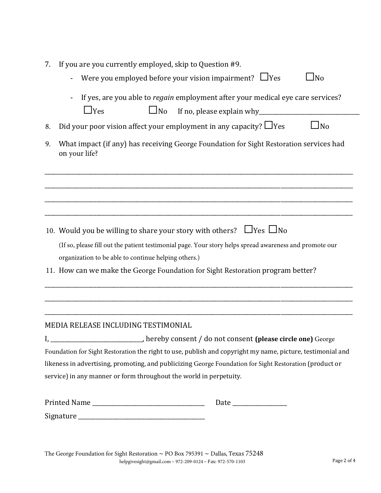| 7. If you are you currently employed, skip to Question #9. |  |  |
|------------------------------------------------------------|--|--|
|                                                            |  |  |

- Were you employed before your vision impairment?  $\Box$  Yes  $\Box$  No
- If yes, are you able to *regain* employment after your medical eye care services?  $\Box$  Yes  $\Box$  No If no, please explain why

| 3. Did your poor vision affect your employment in any capacity? $\Box$ Yes |  |  | $\Box$ No |
|----------------------------------------------------------------------------|--|--|-----------|
|                                                                            |  |  |           |

9. What impact (if any) has receiving George Foundation for Sight Restoration services had on your life?

\_\_\_\_\_\_\_\_\_\_\_\_\_\_\_\_\_\_\_\_\_\_\_\_\_\_\_\_\_\_\_\_\_\_\_\_\_\_\_\_\_\_\_\_\_\_\_\_\_\_\_\_\_\_\_\_\_\_\_\_\_\_\_\_\_\_\_\_\_\_\_\_\_\_\_\_\_\_\_\_\_\_\_\_\_\_\_\_\_\_\_\_\_\_\_\_\_\_\_\_\_\_\_\_\_\_\_

\_\_\_\_\_\_\_\_\_\_\_\_\_\_\_\_\_\_\_\_\_\_\_\_\_\_\_\_\_\_\_\_\_\_\_\_\_\_\_\_\_\_\_\_\_\_\_\_\_\_\_\_\_\_\_\_\_\_\_\_\_\_\_\_\_\_\_\_\_\_\_\_\_\_\_\_\_\_\_\_\_\_\_\_\_\_\_\_\_\_\_\_\_\_\_\_\_\_\_\_\_\_\_\_\_\_\_

\_\_\_\_\_\_\_\_\_\_\_\_\_\_\_\_\_\_\_\_\_\_\_\_\_\_\_\_\_\_\_\_\_\_\_\_\_\_\_\_\_\_\_\_\_\_\_\_\_\_\_\_\_\_\_\_\_\_\_\_\_\_\_\_\_\_\_\_\_\_\_\_\_\_\_\_\_\_\_\_\_\_\_\_\_\_\_\_\_\_\_\_\_\_\_\_\_\_\_\_\_\_\_\_\_\_\_

\_\_\_\_\_\_\_\_\_\_\_\_\_\_\_\_\_\_\_\_\_\_\_\_\_\_\_\_\_\_\_\_\_\_\_\_\_\_\_\_\_\_\_\_\_\_\_\_\_\_\_\_\_\_\_\_\_\_\_\_\_\_\_\_\_\_\_\_\_\_\_\_\_\_\_\_\_\_\_\_\_\_\_\_\_\_\_\_\_\_\_\_\_\_\_\_\_\_\_\_\_\_\_\_\_\_\_

\_\_\_\_\_\_\_\_\_\_\_\_\_\_\_\_\_\_\_\_\_\_\_\_\_\_\_\_\_\_\_\_\_\_\_\_\_\_\_\_\_\_\_\_\_\_\_\_\_\_\_\_\_\_\_\_\_\_\_\_\_\_\_\_\_\_\_\_\_\_\_\_\_\_\_\_\_\_\_\_\_\_\_\_\_\_\_\_\_\_\_\_\_\_\_\_\_\_\_\_\_\_\_\_\_\_\_

\_\_\_\_\_\_\_\_\_\_\_\_\_\_\_\_\_\_\_\_\_\_\_\_\_\_\_\_\_\_\_\_\_\_\_\_\_\_\_\_\_\_\_\_\_\_\_\_\_\_\_\_\_\_\_\_\_\_\_\_\_\_\_\_\_\_\_\_\_\_\_\_\_\_\_\_\_\_\_\_\_\_\_\_\_\_\_\_\_\_\_\_\_\_\_\_\_\_\_\_\_\_\_\_\_\_\_

\_\_\_\_\_\_\_\_\_\_\_\_\_\_\_\_\_\_\_\_\_\_\_\_\_\_\_\_\_\_\_\_\_\_\_\_\_\_\_\_\_\_\_\_\_\_\_\_\_\_\_\_\_\_\_\_\_\_\_\_\_\_\_\_\_\_\_\_\_\_\_\_\_\_\_\_\_\_\_\_\_\_\_\_\_\_\_\_\_\_\_\_\_\_\_\_\_\_\_\_\_\_\_\_\_\_\_

- 10. Would you be willing to share your story with others?  $\Box$  Yes  $\Box$  No (If so, please fill out the patient testimonial page. Your story helps spread awareness and promote our organization to be able to continue helping others.)
- 11. How can we make the George Foundation for Sight Restoration program better?

### MEDIA RELEASE INCLUDING TESTIMONIAL

I, \_\_\_\_\_\_\_\_\_\_\_\_\_\_\_\_\_\_\_\_\_\_\_\_\_\_\_\_\_\_\_\_, hereby consent / do not consent **(please circle one)** George Foundation for Sight Restoration the right to use, publish and copyright my name, picture, testimonial and likeness in advertising, promoting, and publicizing George Foundation for Sight Restoration (product or service) in any manner or form throughout the world in perpetuity.

| <b>Printed Name</b> | Date |
|---------------------|------|
| Signature           |      |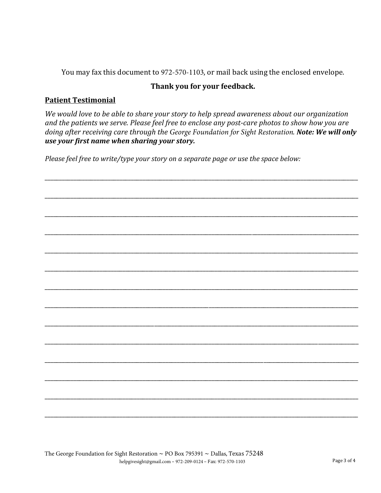You may fax this document to 972-570-1103, or mail back using the enclosed envelope.

## Thank you for your feedback.

### **Patient Testimonial**

We would love to be able to share your story to help spread awareness about our organization and the patients we serve. Please feel free to enclose any post-care photos to show how you are doing after receiving care through the George Foundation for Sight Restoration. Note: We will only use your first name when sharing your story.

Please feel free to write/type your story on a separate page or use the space below: